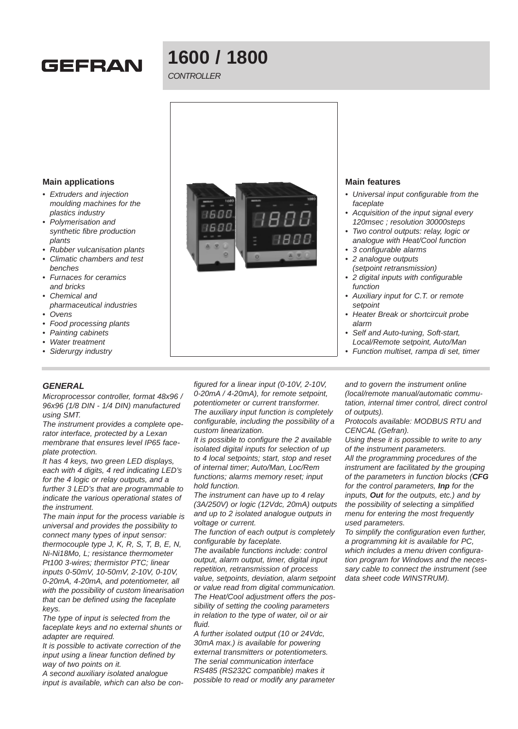# **GEFRAN**

# **1600 / 1800**

# CONTROLLER



- Self and Auto-tuning, Soft-start, Local/Remote setpoint, Auto/Man
- Function multiset, rampa di set, timer

**Main applications**

- Extruders and injection moulding machines for the plastics industry
- Polymerisation and synthetic fibre production plants
- Rubber vulcanisation plants
- Climatic chambers and test benches
- Furnaces for ceramics and bricks
- Chemical and
- pharmaceutical industries
- Ovens
- Food processing plants
- Painting cabinets
- Water treatment
- Siderurgy industry

## **GENERAL**

Microprocessor controller, format 48x96 / 96x96 (1/8 DIN - 1/4 DIN) manufactured using SMT.

The instrument provides a complete operator interface, protected by a Lexan membrane that ensures level IP65 faceplate protection.

It has 4 keys, two green LED displays, each with 4 digits, 4 red indicating LED's for the 4 logic or relay outputs, and a further 3 LED's that are programmable to indicate the various operational states of the instrument.

The main input for the process variable is universal and provides the possibility to connect many types of input sensor: thermocouple type J, K, R, S, T, B, E, N, Ni-Ni18Mo, L; resistance thermometer Pt100 3-wires; thermistor PTC; linear inputs 0-50mV, 10-50mV, 2-10V, 0-10V, 0-20mA, 4-20mA, and potentiometer, all with the possibility of custom linearisation that can be defined using the faceplate keys.

The type of input is selected from the faceplate keys and no external shunts or adapter are required.

It is possible to activate correction of the input using a linear function defined by way of two points on it.

A second auxiliary isolated analogue input is available, which can also be con-

figured for a linear input (0-10V, 2-10V, 0-20mA / 4-20mA), for remote setpoint, potentiometer or current transformer. The auxiliary input function is completely configurable, including the possibility of a custom linearization.

It is possible to configure the 2 available isolated digital inputs for selection of up to 4 local setpoints; start, stop and reset of internal timer; Auto/Man, Loc/Rem functions; alarms memory reset; input hold function.

The instrument can have up to 4 relay (3A/250V) or logic (12Vdc, 20mA) outputs and up to 2 isolated analogue outputs in voltage or current.

The function of each output is completely configurable by faceplate.

The available functions include: control output, alarm output, timer, digital input repetition, retransmission of process value, setpoints, deviation, alarm setpoint or value read from digital communication. The Heat/Cool adjustment offers the possibility of setting the cooling parameters in relation to the type of water, oil or air fluid.

A further isolated output (10 or 24Vdc, 30mA max.) is available for powering external transmitters or potentiometers. The serial communication interface RS485 (RS232C compatible) makes it possible to read or modify any parameter and to govern the instrument online (local/remote manual/automatic commutation, internal timer control, direct control of outputs).

Protocols available: MODBUS RTU and CENCAL (Gefran).

Using these it is possible to write to any of the instrument parameters.

All the programming procedures of the instrument are facilitated by the grouping of the parameters in function blocks (**CFG** for the control parameters, **Inp** for the inputs, **Out** for the outputs, etc.) and by the possibility of selecting a simplified menu for entering the most frequently used parameters.

To simplify the configuration even further, a programming kit is available for PC, which includes a menu driven configuration program for Windows and the necessary cable to connect the instrument (see data sheet code WINSTRUM).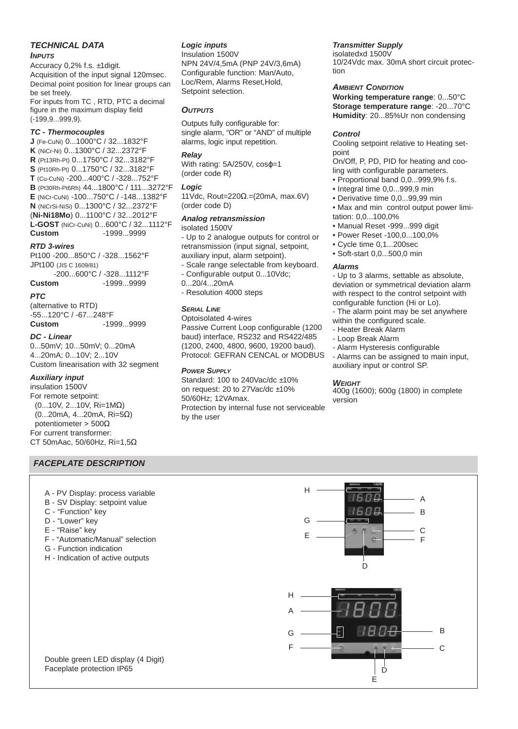#### **TECHNICAL DATA**

#### **INPUTS**

Accuracy 0,2% f.s. ±1digit. Acquisition of the input signal 120msec. Decimal point position for linear groups can be set freely.

For inputs from TC , RTD, PTC a decimal figure in the maximum display field (-199,9...999,9).

#### **TC - Thermocouples**

**J** (Fe-CuNi) 0...1000°C / 32...1832°F **K** (NiCr-Ni) 0...1300°C / 32...2372°F **R** (Pt13Rh-Pt) 0...1750°C / 32...3182°F **S** (Pt10Rh-Pt) 0...1750°C / 32...3182°F **T** (Cu-CuNi) -200...400°C / -328...752°F **B** (Pt30Rh-Pt6Rh) 44...1800°C / 111...3272°F **E** (NiCr-CuNi) -100...750°C / -148...1382°F **N** (NiCrSi-NiSi) 0...1300°C / 32...2372°F (**Ni-Ni18Mo**) 0...1100°C / 32...2012°F **L-GOST** (NiCr-CuNi) 0...600°C / 32...1112°F **Custom** -1999...9999

#### **RTD 3-wires**

Pt100 -200...850°C / -328...1562°F JPt100 (JIS C 1609/81) -200...600°C / -328...1112°F

**Custom** -1999...9999

# **PTC**

(alternative to RTD) -55...120°C / -67...248°F **Custom** -1999...9999

#### **DC - Linear**

0...50mV; 10...50mV; 0...20mA 4...20mA; 0...10V; 2...10V Custom linearisation with 32 segment

#### **Auxiliary input**

insulation 1500V For remote setpoint: (0...10V, 2...10V, Ri=1MΩ) (0...20mA, 4...20mA, Ri=5Ω) potentiometer > 500Ω For current transformer: CT 50mAac, 50/60Hz, Ri=1,5Ω

#### **FACEPLATE DESCRIPTION**

- A PV Display: process variable
- B SV Display: setpoint value
- C "Function" key
- D "Lower" key
- E "Raise" key
- F "Automatic/Manual" selection
- G Function indication
- H Indication of active outputs

# **Logic inputs**

Insulation 1500V NPN 24V/4,5mA (PNP 24V/3,6mA) Configurable function: Man/Auto, Loc/Rem, Alarms Reset,Hold, Setpoint selection.

#### **OUTPUTS**

Outputs fully configurable for: single alarm, "OR" or "AND" of multiple alarms, logic input repetition.

#### **Relay**

With rating: 5A/250V, cos $\varphi$ =1 (order code R)

#### **Logic**

11Vdc, Rout=220Ω.=(20mA, max.6V) (order code D)

## **Analog retransmission**

isolated 1500V

- Up to 2 analogue outputs for control or retransmission (input signal, setpoint, auxiliary input, alarm setpoint).

- Scale range selectable from keyboard. - Configurable output 0...10Vdc;
- 0...20/4...20mA
- Resolution 4000 steps

#### **SERIAL LINE**

Optoisolated 4-wires Passive Current Loop configurable (1200 baud) interface, RS232 and RS422/485 (1200, 2400, 4800, 9600, 19200 baud). Protocol: GEFRAN CENCAL or MODBUS

#### **POWER SUPPLY**

Standard: 100 to 240Vac/dc ±10% on request: 20 to 27Vac/dc ±10% 50/60Hz; 12VAmax. Protection by internal fuse not serviceable by the user

#### **Transmitter Supply**

isolatedxd 1500V 10/24Vdc max. 30mA short circuit protection

#### **AMBIENT CONDITION**

**Working temperature range**: 0...50°C **Storage temperature range**: -20...70°C **Humidity**: 20...85%Ur non condensing

#### **Control**

Cooling setpoint relative to Heating setpoint

On/Off, P, PD, PID for heating and cooling with configurable parameters.

- Proportional band 0,0...999,9% f.s.
- Integral time 0,0...999,9 min
- Derivative time 0,0...99,99 min
- Max and min control output power limitation: 0,0...100,0%
- Manual Reset -999...999 digit
- Power Reset -100,0...100,0%
- Cycle time 0,1...200sec
- Soft-start 0,0...500,0 min

#### **Alarms**

- Up to 3 alarms, settable as absolute, deviation or symmetrical deviation alarm with respect to the control setpoint with configurable function (Hi or Lo).

- The alarm point may be set anywhere

- within the configured scale.
- Heater Break Alarm
- Loop Break Alarm
- Alarm Hysteresis configurable
- Alarms can be assigned to main input, auxiliary input or control SP.

#### **WEIGHT**

H

400g (1600); 600g (1800) in complete version

> B A



戶

Double green LED display (4 Digit) Faceplate protection IP65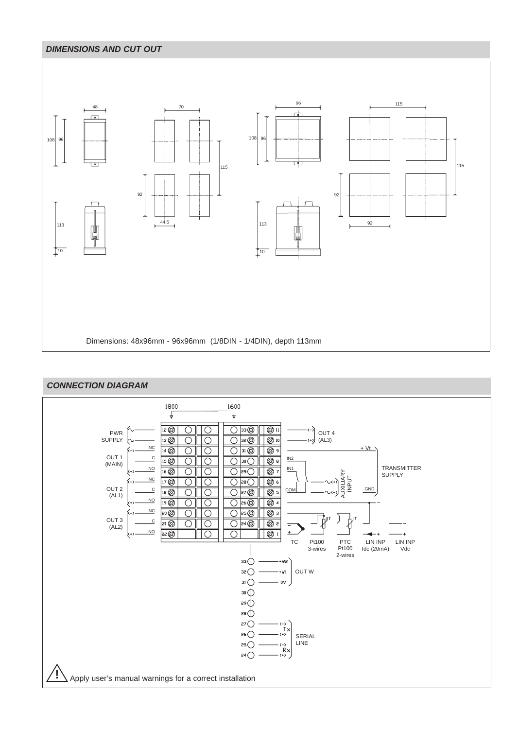# **DIMENSIONS AND CUT OUT**



# **CONNECTION DIAGRAM**